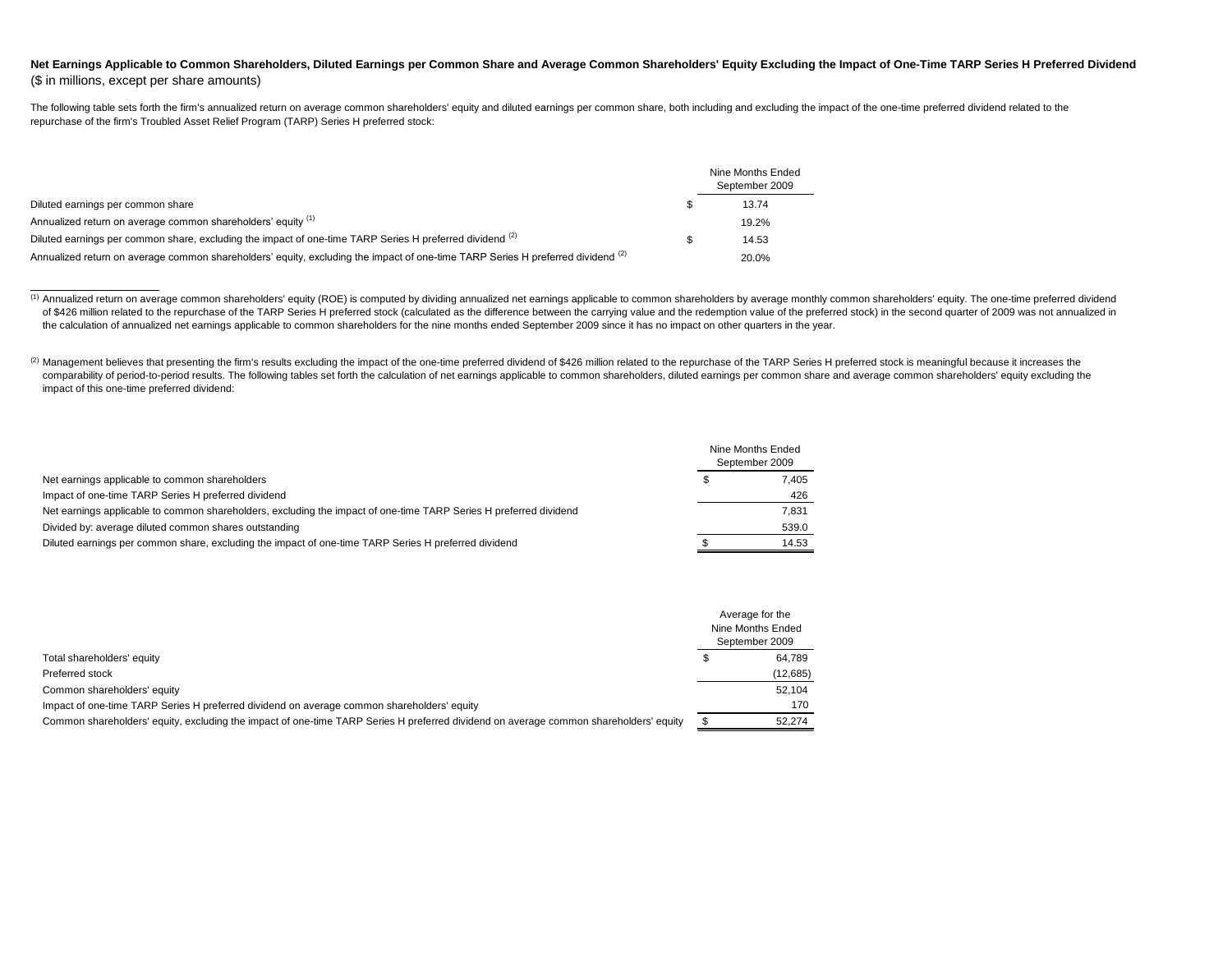## Net Earnings Applicable to Common Shareholders, Diluted Earnings per Common Share and Average Common Shareholders' Equity Excluding the Impact of One-Time TARP Series H Preferred Dividend (\$ in millions, except per share amounts)

The following table sets forth the firm's annualized return on average common shareholders' equity and diluted earnings per common share, both including and excluding the impact of the one-time preferred dividend related t repurchase of the firm's Troubled Asset Relief Program (TARP) Series H preferred stock:

|                                                                                                                                 | Nine Months Ended<br>September 2009 |
|---------------------------------------------------------------------------------------------------------------------------------|-------------------------------------|
| Diluted earnings per common share                                                                                               | 13.74                               |
| Annualized return on average common shareholders' equity (1)                                                                    | 19.2%                               |
| Diluted earnings per common share, excluding the impact of one-time TARP Series H preferred dividend (2)                        | 14.53                               |
| Annualized return on average common shareholders' equity, excluding the impact of one-time TARP Series H preferred dividend (2) | 20.0%                               |

(2) Management believes that presenting the firm's results excluding the impact of the one-time preferred dividend of \$426 million related to the repurchase of the TARP Series H preferred stock is meaningful because it inc comparability of period-to-period results. The following tables set forth the calculation of net earnings applicable to common shareholders, diluted earnings per common share and average common shareholders' equity excludi impact of this one-time preferred dividend:

|                                                                                                                   | Nine Months Ended<br>September 2009 |
|-------------------------------------------------------------------------------------------------------------------|-------------------------------------|
| Net earnings applicable to common shareholders                                                                    | 7.405                               |
| Impact of one-time TARP Series H preferred dividend                                                               | 426                                 |
| Net earnings applicable to common shareholders, excluding the impact of one-time TARP Series H preferred dividend | 7,831                               |
| Divided by: average diluted common shares outstanding                                                             | 539.0                               |
| Diluted earnings per common share, excluding the impact of one-time TARP Series H preferred dividend              | 14.53                               |

|                                                                                                                                       | Average for the   |
|---------------------------------------------------------------------------------------------------------------------------------------|-------------------|
|                                                                                                                                       | Nine Months Ended |
|                                                                                                                                       | September 2009    |
| Total shareholders' equity                                                                                                            | 64.789            |
| Preferred stock                                                                                                                       | (12,685)          |
| Common shareholders' equity                                                                                                           | 52.104            |
| Impact of one-time TARP Series H preferred dividend on average common shareholders' equity                                            | 170               |
| Common shareholders' equity, excluding the impact of one-time TARP Series H preferred dividend on average common shareholders' equity | 52.274            |

<sup>&</sup>lt;sup>(1)</sup> Annualized return on average common shareholders' equity (ROE) is computed by dividing annualized net earnings applicable to common shareholders by average monthly common shareholders' equity. The one-time preferred of \$426 million related to the repurchase of the TARP Series H preferred stock (calculated as the difference between the carrying value and the redemption value of the preferred stock) in the second quarter of 2009 was not the calculation of annualized net earnings applicable to common shareholders for the nine months ended September 2009 since it has no impact on other quarters in the year.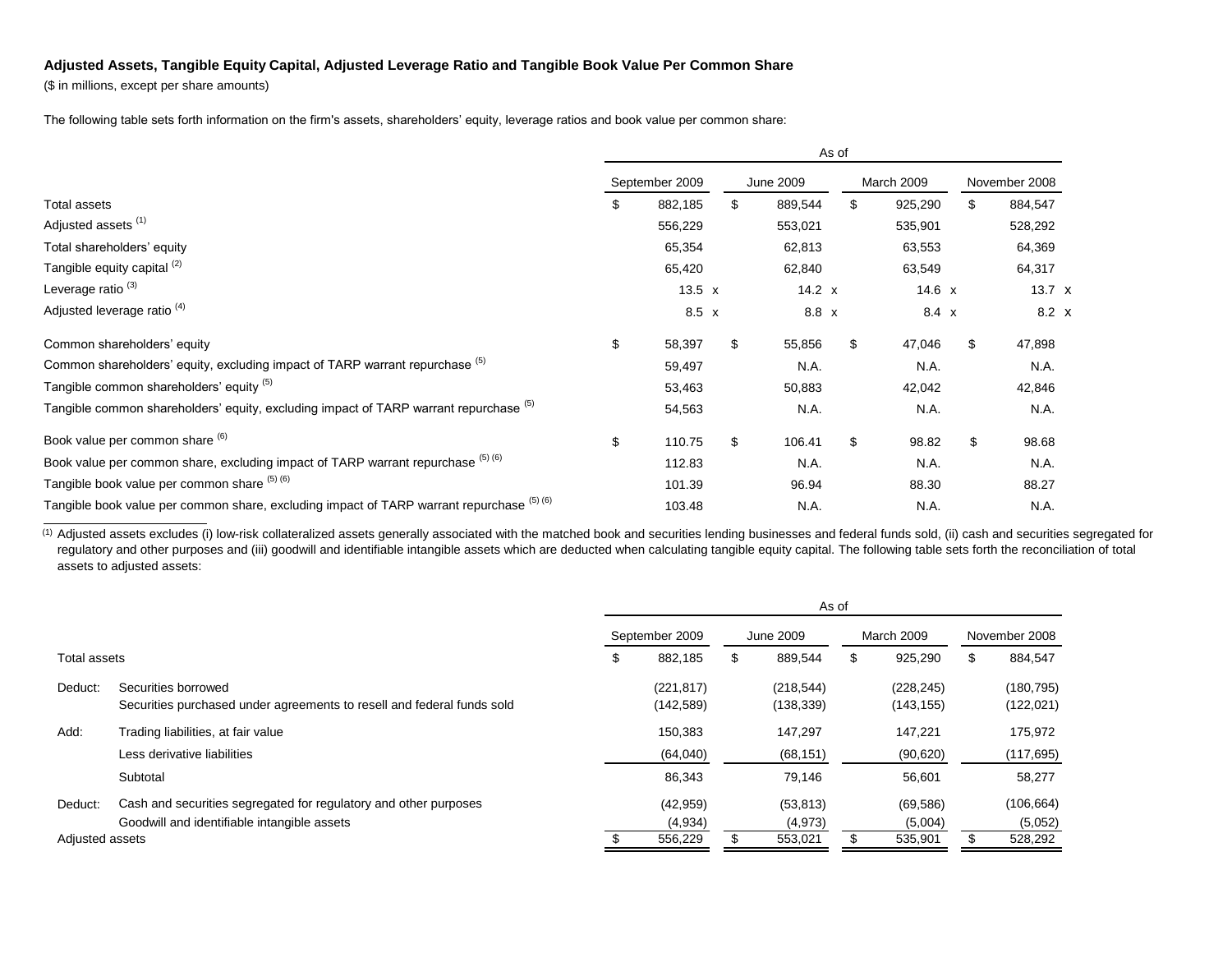## **Adjusted Assets, Tangible Equity Capital, Adjusted Leverage Ratio and Tangible Book Value Per Common Share**

(\$ in millions, except per share amounts)

The following table sets forth information on the firm's assets, shareholders' equity, leverage ratios and book value per common share:

|                                                                                           | As of |                |                  |          |  |            |          |  |               |               |  |  |
|-------------------------------------------------------------------------------------------|-------|----------------|------------------|----------|--|------------|----------|--|---------------|---------------|--|--|
|                                                                                           |       | September 2009 | <b>June 2009</b> |          |  | March 2009 |          |  | November 2008 |               |  |  |
| Total assets                                                                              | \$    | 882,185        | \$               | 889,544  |  | \$         | 925,290  |  | \$            | 884,547       |  |  |
| Adjusted assets <sup>(1)</sup>                                                            |       | 556,229        |                  | 553,021  |  |            | 535,901  |  |               | 528,292       |  |  |
| Total shareholders' equity                                                                |       | 65,354         |                  | 62,813   |  |            | 63,553   |  |               | 64,369        |  |  |
| Tangible equity capital <sup>(2)</sup>                                                    |       | 65,420         |                  | 62,840   |  |            | 63,549   |  |               | 64,317        |  |  |
| Leverage ratio <sup>(3)</sup>                                                             |       | 13.5 $x$       |                  | 14.2 $x$ |  |            | 14.6 $x$ |  |               | $13.7 \times$ |  |  |
| Adjusted leverage ratio <sup>(4)</sup>                                                    |       | $8.5 \times$   |                  | 8.8 x    |  |            | 8.4 x    |  |               | $8.2 \times$  |  |  |
| Common shareholders' equity                                                               | \$    | 58,397         | \$               | 55,856   |  | \$         | 47,046   |  | \$            | 47,898        |  |  |
| Common shareholders' equity, excluding impact of TARP warrant repurchase (5)              |       | 59,497         |                  | N.A.     |  |            | N.A.     |  |               | N.A.          |  |  |
| Tangible common shareholders' equity (5)                                                  |       | 53,463         |                  | 50,883   |  |            | 42,042   |  |               | 42,846        |  |  |
| Tangible common shareholders' equity, excluding impact of TARP warrant repurchase (b)     |       | 54,563         |                  | N.A.     |  |            | N.A.     |  |               | N.A.          |  |  |
| Book value per common share (6)                                                           | \$    | 110.75         | \$               | 106.41   |  | \$         | 98.82    |  | \$            | 98.68         |  |  |
| Book value per common share, excluding impact of TARP warrant repurchase (5) (6)          |       | 112.83         |                  | N.A.     |  |            | N.A.     |  |               | N.A.          |  |  |
| Tangible book value per common share (5) (6)                                              |       | 101.39         |                  | 96.94    |  |            | 88.30    |  |               | 88.27         |  |  |
| Tangible book value per common share, excluding impact of TARP warrant repurchase (5) (6) |       | 103.48         |                  | N.A.     |  |            | N.A.     |  |               | N.A.          |  |  |

<sup>(1)</sup> Adjusted assets excludes (i) low-risk collateralized assets generally associated with the matched book and securities lending businesses and federal funds sold, (ii) cash and securities segregated for regulatory and other purposes and (iii) goodwill and identifiable intangible assets which are deducted when calculating tangible equity capital. The following table sets forth the reconciliation of total assets to adjusted assets:

|                 |                                                                                               | As of          |                          |   |                         |   |                          |    |                          |
|-----------------|-----------------------------------------------------------------------------------------------|----------------|--------------------------|---|-------------------------|---|--------------------------|----|--------------------------|
|                 |                                                                                               | September 2009 |                          |   | June 2009               |   | March 2009               |    | November 2008            |
| Total assets    |                                                                                               | S              | 882,185                  | S | 889,544                 | S | 925,290                  | \$ | 884,547                  |
| Deduct:         | Securities borrowed<br>Securities purchased under agreements to resell and federal funds sold |                | (221, 817)<br>(142, 589) |   | (218, 544)<br>(138,339) |   | (228, 245)<br>(143, 155) |    | (180, 795)<br>(122, 021) |
| Add:            | Trading liabilities, at fair value                                                            |                | 150,383                  |   | 147.297                 |   | 147.221                  |    | 175,972                  |
|                 | Less derivative liabilities                                                                   |                | (64,040)                 |   | (68, 151)               |   | (90, 620)                |    | (117, 695)               |
|                 | Subtotal                                                                                      |                | 86,343                   |   | 79,146                  |   | 56,601                   |    | 58,277                   |
| Deduct:         | Cash and securities segregated for regulatory and other purposes                              |                | (42, 959)                |   | (53, 813)               |   | (69, 586)                |    | (106, 664)               |
|                 | Goodwill and identifiable intangible assets                                                   |                | (4,934)                  |   | (4, 973)                |   | (5,004)                  |    | (5,052)                  |
| Adjusted assets |                                                                                               |                | 556,229                  |   | 553,021                 |   | 535,901                  |    | 528,292                  |